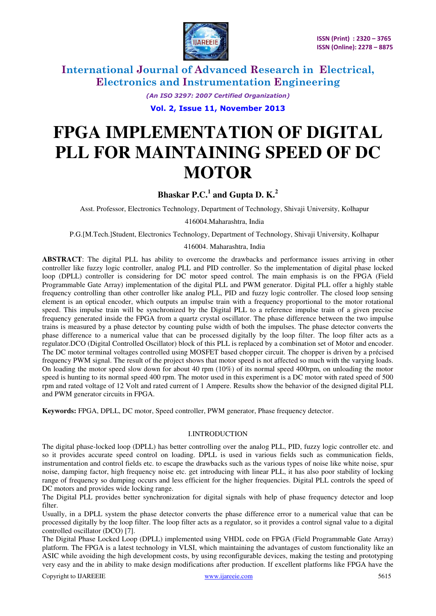

> *(An ISO 3297: 2007 Certified Organization)*  **Vol. 2, Issue 11, November 2013**

# **FPGA IMPLEMENTATION OF DIGITAL PLL FOR MAINTAINING SPEED OF DC MOTOR**

# **Bhaskar P.C.<sup>1</sup> and Gupta D. K.<sup>2</sup>**

Asst. Professor, Electronics Technology, Department of Technology, Shivaji University, Kolhapur

416004.Maharashtra, India

P.G.[M.Tech.]Student, Electronics Technology, Department of Technology, Shivaji University, Kolhapur

#### 416004. Maharashtra, India

**ABSTRACT**: The digital PLL has ability to overcome the drawbacks and performance issues arriving in other controller like fuzzy logic controller, analog PLL and PID controller. So the implementation of digital phase locked loop (DPLL) controller is considering for DC motor speed control. The main emphasis is on the FPGA (Field Programmable Gate Array) implementation of the digital PLL and PWM generator. Digital PLL offer a highly stable frequency controlling than other controller like analog PLL, PID and fuzzy logic controller. The closed loop sensing element is an optical encoder, which outputs an impulse train with a frequency proportional to the motor rotational speed. This impulse train will be synchronized by the Digital PLL to a reference impulse train of a given precise frequency generated inside the FPGA from a quartz crystal oscillator. The phase difference between the two impulse trains is measured by a phase detector by counting pulse width of both the impulses. The phase detector converts the phase difference to a numerical value that can be processed digitally by the loop filter. The loop filter acts as a regulator.DCO (Digital Controlled Oscillator) block of this PLL is replaced by a combination set of Motor and encoder. The DC motor terminal voltages controlled using MOSFET based chopper circuit. The chopper is driven by a précised frequency PWM signal. The result of the project shows that motor speed is not affected so much with the varying loads. On loading the motor speed slow down for about 40 rpm (10%) of its normal speed 400rpm, on unloading the motor speed is hunting to its normal speed 400 rpm. The motor used in this experiment is a DC motor with rated speed of 500 rpm and rated voltage of 12 Volt and rated current of 1 Ampere. Results show the behavior of the designed digital PLL and PWM generator circuits in FPGA.

**Keywords:** FPGA, DPLL, DC motor, Speed controller, PWM generator, Phase frequency detector.

### I.INTRODUCTION

The digital phase-locked loop (DPLL) has better controlling over the analog PLL, PID, fuzzy logic controller etc. and so it provides accurate speed control on loading. DPLL is used in various fields such as communication fields, instrumentation and control fields etc. to escape the drawbacks such as the various types of noise like white noise, spur noise, damping factor, high frequency noise etc. get introducing with linear PLL, it has also poor stability of locking range of frequency so dumping occurs and less efficient for the higher frequencies. Digital PLL controls the speed of DC motors and provides wide locking range.

The Digital PLL provides better synchronization for digital signals with help of phase frequency detector and loop filter.

Usually, in a DPLL system the phase detector converts the phase difference error to a numerical value that can be processed digitally by the loop filter. The loop filter acts as a regulator, so it provides a control signal value to a digital controlled oscillator (DCO) [7].

The Digital Phase Locked Loop (DPLL) implemented using VHDL code on FPGA (Field Programmable Gate Array) platform. The FPGA is a latest technology in VLSI, which maintaining the advantages of custom functionality like an ASIC while avoiding the high development costs, by using reconfigurable devices, making the testing and prototyping very easy and the in ability to make design modifications after production. If excellent platforms like FPGA have the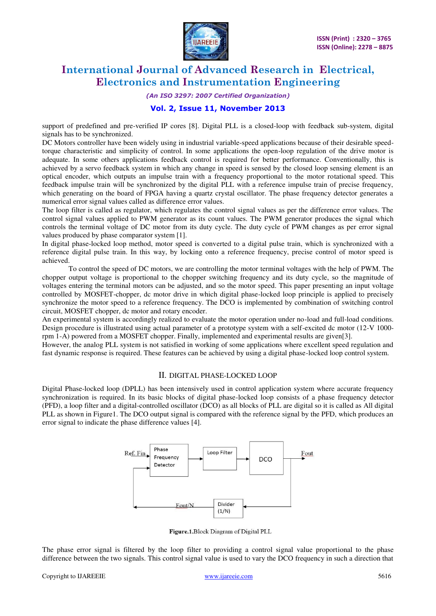

*(An ISO 3297: 2007 Certified Organization)* 

# **Vol. 2, Issue 11, November 2013**

support of predefined and pre-verified IP cores [8]. Digital PLL is a closed-loop with feedback sub-system, digital signals has to be synchronized.

DC Motors controller have been widely using in industrial variable-speed applications because of their desirable speedtorque characteristic and simplicity of control. In some applications the open-loop regulation of the drive motor is adequate. In some others applications feedback control is required for better performance. Conventionally, this is achieved by a servo feedback system in which any change in speed is sensed by the closed loop sensing element is an optical encoder, which outputs an impulse train with a frequency proportional to the motor rotational speed. This feedback impulse train will be synchronized by the digital PLL with a reference impulse train of precise frequency, which generating on the board of FPGA having a quartz crystal oscillator. The phase frequency detector generates a numerical error signal values called as difference error values.

The loop filter is called as regulator, which regulates the control signal values as per the difference error values. The control signal values applied to PWM generator as its count values. The PWM generator produces the signal which controls the terminal voltage of DC motor from its duty cycle. The duty cycle of PWM changes as per error signal values produced by phase comparator system [1].

In digital phase-locked loop method, motor speed is converted to a digital pulse train, which is synchronized with a reference digital pulse train. In this way, by locking onto a reference frequency, precise control of motor speed is achieved.

 To control the speed of DC motors, we are controlling the motor terminal voltages with the help of PWM. The chopper output voltage is proportional to the chopper switching frequency and its duty cycle, so the magnitude of voltages entering the terminal motors can be adjusted, and so the motor speed. This paper presenting an input voltage controlled by MOSFET-chopper, dc motor drive in which digital phase-locked loop principle is applied to precisely synchronize the motor speed to a reference frequency. The DCO is implemented by combination of switching control circuit, MOSFET chopper, dc motor and rotary encoder.

An experimental system is accordingly realized to evaluate the motor operation under no-load and full-load conditions. Design procedure is illustrated using actual parameter of a prototype system with a self-excited dc motor (12-V 1000 rpm 1-A) powered from a MOSFET chopper. Finally, implemented and experimental results are given[3].

However, the analog PLL system is not satisfied in working of some applications where excellent speed regulation and fast dynamic response is required. These features can be achieved by using a digital phase-locked loop control system.

#### II. DIGITAL PHASE-LOCKED LOOP

Digital Phase-locked loop (DPLL) has been intensively used in control application system where accurate frequency synchronization is required. In its basic blocks of digital phase-locked loop consists of a phase frequency detector (PFD), a loop filter and a digital-controlled oscillator (DCO) as all blocks of PLL are digital so it is called as All digital PLL as shown in Figure1. The DCO output signal is compared with the reference signal by the PFD, which produces an error signal to indicate the phase difference values [4].



Figure.1.Block Diagram of Digital PLL

The phase error signal is filtered by the loop filter to providing a control signal value proportional to the phase difference between the two signals. This control signal value is used to vary the DCO frequency in such a direction that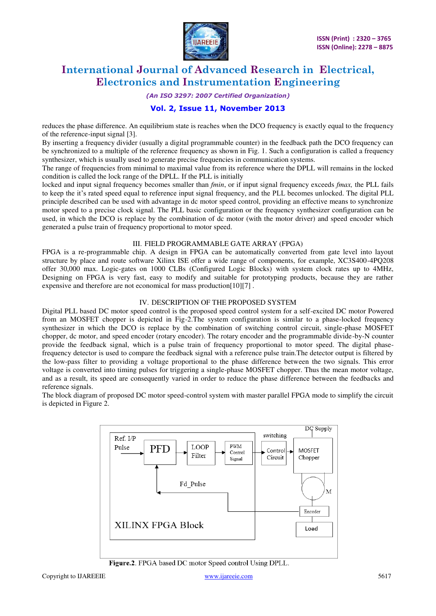

#### *(An ISO 3297: 2007 Certified Organization)*

### **Vol. 2, Issue 11, November 2013**

reduces the phase difference. An equilibrium state is reaches when the DCO frequency is exactly equal to the frequency of the reference-input signal [3].

By inserting a frequency divider (usually a digital programmable counter) in the feedback path the DCO frequency can be synchronized to a multiple of the reference frequency as shown in Fig. 1. Such a configuration is called a frequency synthesizer, which is usually used to generate precise frequencies in communication systems.

The range of frequencies from minimal to maximal value from its reference where the DPLL will remains in the locked condition is called the lock range of the DPLL. If the PLL is initially

locked and input signal frequency becomes smaller than *fmin*, or if input signal frequency exceeds *fmax,* the PLL fails to keep the it's rated speed equal to reference input signal frequency, and the PLL becomes unlocked. The digital PLL principle described can be used with advantage in dc motor speed control, providing an effective means to synchronize motor speed to a precise clock signal. The PLL basic configuration or the frequency synthesizer configuration can be used, in which the DCO is replace by the combination of dc motor (with the motor driver) and speed encoder which generated a pulse train of frequency proportional to motor speed.

#### III. FIELD PROGRAMMABLE GATE ARRAY (FPGA)

FPGA is a re-programmable chip. A design in FPGA can be automatically converted from gate level into layout structure by place and route software Xilinx ISE offer a wide range of components, for example, XC3S400-4PQ208 offer 30,000 max. Logic-gates on 1000 CLBs (Configured Logic Blocks) with system clock rates up to 4MHz, Designing on FPGA is very fast, easy to modify and suitable for prototyping products, because they are rather expensive and therefore are not economical for mass production[10][7] .

### IV. DESCRIPTION OF THE PROPOSED SYSTEM

Digital PLL based DC motor speed control is the proposed speed control system for a self-excited DC motor Powered from an MOSFET chopper is depicted in Fig-2.The system configuration is similar to a phase-locked frequency synthesizer in which the DCO is replace by the combination of switching control circuit, single-phase MOSFET chopper, dc motor, and speed encoder (rotary encoder). The rotary encoder and the programmable divide-by-N counter provide the feedback signal, which is a pulse train of frequency proportional to motor speed. The digital phasefrequency detector is used to compare the feedback signal with a reference pulse train.The detector output is filtered by the low-pass filter to providing a voltage proportional to the phase difference between the two signals. This error voltage is converted into timing pulses for triggering a single-phase MOSFET chopper. Thus the mean motor voltage, and as a result, its speed are consequently varied in order to reduce the phase difference between the feedbacks and reference signals.

The block diagram of proposed DC motor speed-control system with master parallel FPGA mode to simplify the circuit is depicted in Figure 2.



Figure.2. FPGA based DC motor Speed control Using DPLL.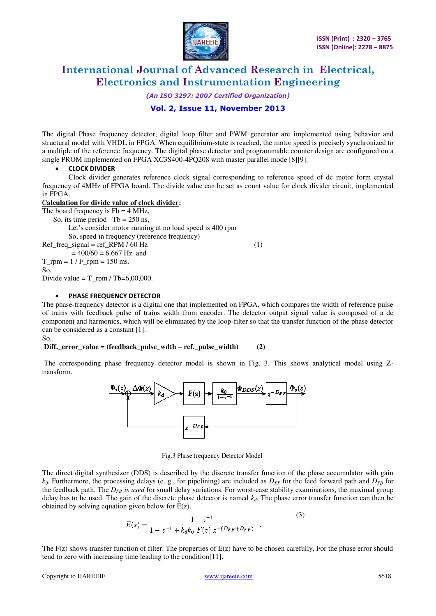

*(An ISO 3297: 2007 Certified Organization)* 

# **Vol. 2, Issue 11, November 2013**

The digital Phase frequency detector, digital loop filter and PWM generator are implemented using behavior and structural model with VHDL in FPGA. When equilibrium-state is reached, the motor speed is precisely synchronized to a multiple of the reference frequency. The digital phase detector and programmable counter design are configured on a single PROM implemented on FPGA XC3S400-4PQ208 with master parallel mode [8][9].

### **CLOCK DIVIDER**

Clock divider generates reference clock signal corresponding to reference speed of dc motor form crystal frequency of 4MHz of FPGA board. The divide value can be set as count value for clock divider circuit, implemented in FPGA.

#### C**alculation for divide value of clock divider:**

The board frequency is  $Fb = 4 \text{ MHz}$ ,

So, its time period  $Tb = 250$  ns,

Let's consider motor running at no load speed is 400 rpm

So, speed in frequency (reference frequency)

Ref freq signal = ref RPM / 60 Hz (1)  $= 400/60 = 6.667$  Hz and

 $T$ \_rpm = 1 /  $F$ \_rpm = 150 ms.

So,

Divide value =  $T$ \_rpm / Tb=6,00,000.

#### **PHASE FREQUENCY DETECTOR**

The phase-frequency detector is a digital one that implemented on FPGA, which compares the width of reference pulse of trains with feedback pulse of trains width from encoder. The detector output signal value is composed of a dc component and harmonics, which will be eliminated by the loop-filter so that the transfer function of the phase detector can be considered as a constant [1].

So,

### **Diff.\_error\_value = (feedback\_pulse\_wdth – ref.\_pulse\_width) (2)**

The corresponding phase frequency detector model is shown in Fig. 3. This shows analytical model using Ztransform.



Fig.3 Phase frequency Detector Model

The direct digital synthesizer (DDS) is described by the discrete transfer function of the phase accumulator with gain  $k_0$ . Furthermore, the processing delays (e. g., for pipelining) are included as  $D_{FF}$  for the feed forward path and  $D_{FB}$  for the feedback path. The *DFB is used* for small delay variations. For worst-case stability examinations, the maximal group delay has to be used. The gain of the discrete phase detector is named  $k_d$ . The phase error transfer function can then be obtained by solving equation given below for E(z).

$$
E(z) = \frac{1 - z^{-1}}{1 - z^{-1} + k_d k_0 F(z) z^{-(D_{FB} + D_{FF})}}.
$$
\n(3)

The  $F(z)$  shows transfer function of filter. The properties of  $E(z)$  have to be chosen carefully, For the phase error should tend to zero with increasing time leading to the condition[11].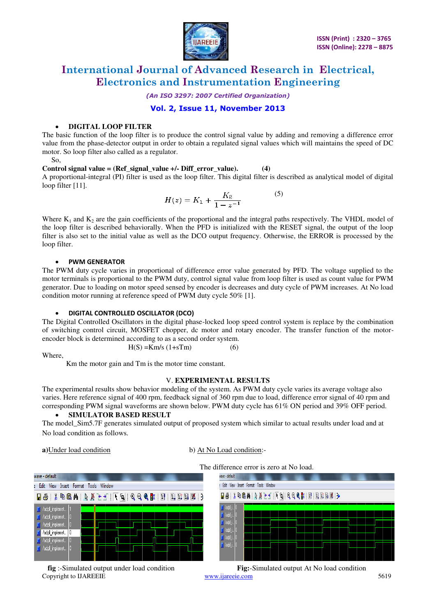

*(An ISO 3297: 2007 Certified Organization)* 

**Vol. 2, Issue 11, November 2013** 

# **DIGITAL LOOP FILTER**

The basic function of the loop filter is to produce the control signal value by adding and removing a difference error value from the phase-detector output in order to obtain a regulated signal values which will maintains the speed of DC motor. So loop filter also called as a regulator.

So,

#### **Control signal value = (Ref\_signal\_value +/- Diff\_error\_value).**  $(4)$

A proportional-integral (PI) filter is used as the loop filter. This digital filter is described as analytical model of digital loop filter [11].

$$
H(z) = K_1 + \frac{K_2}{1 - z^{-1}}\tag{5}
$$

Where  $K_1$  and  $K_2$  are the gain coefficients of the proportional and the integral paths respectively. The VHDL model of the loop filter is described behaviorally. When the PFD is initialized with the RESET signal, the output of the loop filter is also set to the initial value as well as the DCO output frequency. Otherwise, the ERROR is processed by the loop filter.

#### **PWM GENERATOR**

The PWM duty cycle varies in proportional of difference error value generated by PFD. The voltage supplied to the motor terminals is proportional to the PWM duty, control signal value from loop filter is used as count value for PWM generator. Due to loading on motor speed sensed by encoder is decreases and duty cycle of PWM increases. At No load condition motor running at reference speed of PWM duty cycle 50% [1].

### **DIGITAL CONTROLLED OSCILLATOR (DCO)**

The Digital Controlled Oscillators in the digital phase-locked loop speed control system is replace by the combination of switching control circuit, MOSFET chopper, dc motor and rotary encoder. The transfer function of the motorencoder block is determined according to as a second order system.  $H(S) = Km/s (1+sTm)$  (6)

Where,

Km the motor gain and Tm is the motor time constant.

#### V. **EXPERIMENTAL RESULTS**

The experimental results show behavior modeling of the system. As PWM duty cycle varies its average voltage also varies. Here reference signal of 400 rpm, feedback signal of 360 rpm due to load, difference error signal of 40 rpm and corresponding PWM signal waveforms are shown below. PWM duty cycle has 61% ON period and 39% OFF period.

#### **SIMULATOR BASED RESULT**

The model Sim5.7F generates simulated output of proposed system which similar to actual results under load and at No load condition as follows.

**a**)Under load condition b) At No Load condition:-

The difference error is zero at No load.



wave - default : Edit View Insert Format Tools Window  $\mathcal{A}$  is the state of  $\mathcal{A}$  in  $\mathcal{A}$  in the state  $\mathcal{A}$  in the state  $\mathcal{B}$  is in the state  $\mathcal{A}$ 

 **fig** :-Simulated output under load condition **Fig:**-Simulated output At No load condition

Copyright to IJAREEIE www.ijareeie.com 5619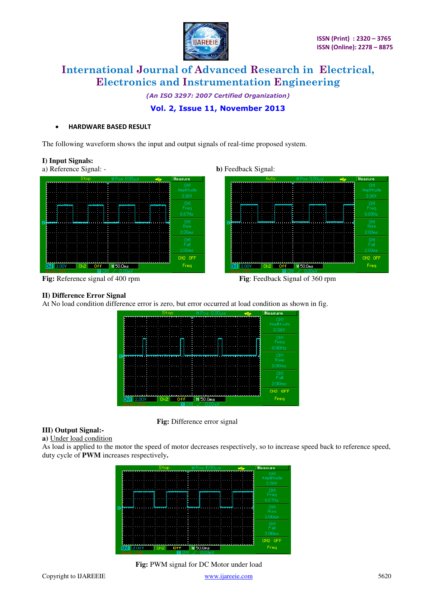

*(An ISO 3297: 2007 Certified Organization)* 

# **Vol. 2, Issue 11, November 2013**

#### **HARDWARE BASED RESULT**

The following waveform shows the input and output signals of real-time proposed system.

#### **I) Input Signals:**







**Fig:** Reference signal of 400 rpm **Fig**: Feedback Signal of 360 rpm

#### **II) Difference Error Signal**

At No load condition difference error is zero, but error occurred at load condition as shown in fig.

|                                          | Stop                   | $M$ Pos: $0.00\mu s$ | ÷ | Measure                   |
|------------------------------------------|------------------------|----------------------|---|---------------------------|
|                                          |                        |                      |   | CH1<br>Amplitude<br>3.36V |
| ٠                                        | ı<br>ı                 |                      |   | CH1<br>Freq<br>6.00Hz     |
|                                          | ٠                      |                      |   | CH1<br>Rise<br>2.00ms     |
|                                          |                        |                      |   | CH1<br>Fall<br>2.00ms     |
| 2.00V<br>Ch1<br>TIF <del>f</del><br>lath | Ch <sub>2</sub><br>0ff | $M$ 50.0ms           |   | CH2 OFF<br>Freq           |



### **III) Output Signal:-**

**a)** Under load condition

As load is applied to the motor the speed of motor decreases respectively, so to increase speed back to reference speed, duty cycle of **PWM** increases respectively**.** 

|                          | Stop                   | M Pos: 0.00 µs | ÷ | Measure                   |
|--------------------------|------------------------|----------------|---|---------------------------|
|                          |                        |                |   | CH1<br>Amplitude<br>3.36V |
|                          |                        |                |   | CH1<br>Freq<br>$6.67$ Hz  |
|                          |                        |                |   | CH1<br>Rise<br>2.00ms     |
|                          |                        |                |   | CH1<br>Fall<br>2.00ms     |
|                          |                        |                |   | CH <sub>2</sub> OFF       |
| 2.00V<br>Ch1<br>Math Off | 0ff<br>Ch <sub>2</sub> | $M$ 50.0ms     |   | Freq                      |

 **Fig:** PWM signal for DC Motor under load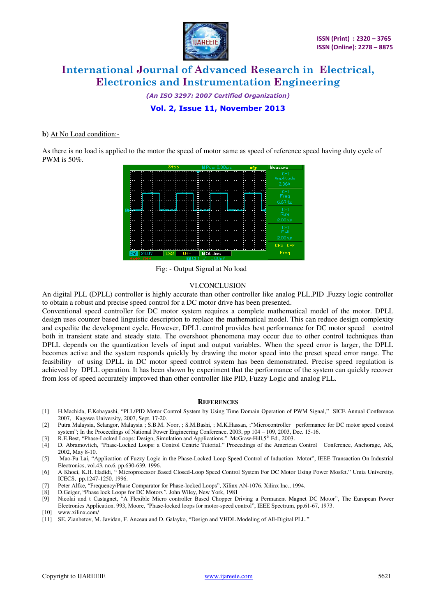

*(An ISO 3297: 2007 Certified Organization)*  **Vol. 2, Issue 11, November 2013** 

#### **b**) At No Load condition:-

As there is no load is applied to the motor the speed of motor same as speed of reference speed having duty cycle of PWM is 50%.



Fig: - Output Signal at No load

#### VI.CONCLUSION

An digital PLL **(**DPLL) controller is highly accurate than other controller like analog PLL,PID ,Fuzzy logic controller to obtain a robust and precise speed control for a DC motor drive has been presented.

Conventional speed controller for DC motor system requires a complete mathematical model of the motor. DPLL design uses counter based linguistic description to replace the mathematical model. This can reduce design complexity and expedite the development cycle. However, DPLL control provides best performance for DC motor speed control both in transient state and steady state. The overshoot phenomena may occur due to other control techniques than DPLL depends on the quantization levels of input and output variables. When the speed error is larger, the DPLL becomes active and the system responds quickly by drawing the motor speed into the preset speed error range. The feasibility of using DPLL in DC motor speed control system has been demonstrated. Precise speed regulation is achieved by DPLL operation. It has been shown by experiment that the performance of the system can quickly recover from loss of speed accurately improved than other controller like PID, Fuzzy Logic and analog PLL.

#### **REFERENCES**

- [1] H.Machida, F.Kobayashi, "PLL/PID Motor Control System by Using Time Domain Operation of PWM Signal," SICE Annual Conference 2007, Kagawa University, 2007, Sept. 17-20.
- [2] Putra Malaysia, Selangor, Malaysia [; S.B.M. Noor, ;](http://ieeexplore.ieee.org/search/searchresult.jsp?searchWithin=p_Authors:.QT.Noor,%20S.B.M..QT.&newsearch=partialPref) S.[M.Bashi, ; M](http://ieeexplore.ieee.org/search/searchresult.jsp?searchWithin=p_Authors:.QT.Bashi,%20S.M..QT.&newsearch=partialPref).[K.Hassan, ;](http://ieeexplore.ieee.org/search/searchresult.jsp?searchWithin=p_Authors:.QT.Hassan,%20M.K..QT.&newsearch=partialPref)"Microcontroller performance for DC motor speed control
- system"; In the Proceedings of National [Power Engineering Conference, 2003, p](http://ieeexplore.ieee.org/xpl/mostRecentIssue.jsp?punumber=9802)p 104 109, 2003, Dec. 15-16.<br>
[3] R.E.Best, "Phase-Locked Loops: Design, Simulation and Applications." McGraw-Hill,5<sup>th</sup> Ed., 2003.
- [4] D. Abramovitch, "Phase-Locked Loops: a Control Centric Tutorial." Proceedings of the American Control Conference, Anchorage, AK, 2002, May 8-10.
- [5] Mao-Fu Lai, "Application of Fuzzy Logic in the Phase-Locked Loop Speed Control of Induction Motor", IEEE Transaction On Industrial Electronics, vol.43, no.6, pp.630-639, 1996.
- [6] A Khoei, K.H. Hadidi, " Microprocessor Based Closed-Loop Speed Control System For DC Motor Using Power Mosfet." Umia University, ICECS, pp.1247-1250, 1996.
- [7] Peter Alfke, "Frequency/Phase Comparator for Phase-locked Loops", Xilinx AN-1076, Xilinx Inc., 1994.
- [8] D.Geiger, "Phase lock Loops for DC Motors*".* John Wiley, New York, 1981
- Nicolai and t Castagnet, "A Flexible Micro controller Based Chopper Driving a Permanent Magnet DC Motor", The European Power Electronics Application. 993, Moore, "Phase-locked loops for motor-speed control", IEEE Spectrum, pp.61-67, 1973.
- [10] [www.xilinx.com/](http://www.xilinx.com/)
- [11] SE. Zianbetov, M. Javidan, F. Anceau and D. Galayko, "Design and VHDL Modeling of All-Digital PLL."